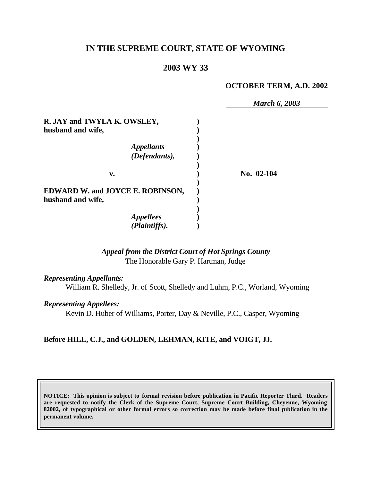# **IN THE SUPREME COURT, STATE OF WYOMING**

### **2003 WY 33**

#### **OCTOBER TERM, A.D. 2002**

|                                                              | <b>March 6, 2003</b> |
|--------------------------------------------------------------|----------------------|
| R. JAY and TWYLA K. OWSLEY,                                  |                      |
| husband and wife,                                            |                      |
| <b>Appellants</b><br>(Defendants),                           |                      |
| v.                                                           | No. 02-104           |
| <b>EDWARD W. and JOYCE E. ROBINSON,</b><br>husband and wife, |                      |
| <b>Appellees</b><br>(Plaintiffs).                            |                      |

# *Appeal from the District Court of Hot Springs County* The Honorable Gary P. Hartman, Judge

#### *Representing Appellants:*

William R. Shelledy, Jr. of Scott, Shelledy and Luhm, P.C., Worland, Wyoming

#### *Representing Appellees:*

Kevin D. Huber of Williams, Porter, Day & Neville, P.C., Casper, Wyoming

### **Before HILL, C.J., and GOLDEN, LEHMAN, KITE, and VOIGT, JJ.**

**NOTICE: This opinion is subject to formal revision before publication in Pacific Reporter Third. Readers are requested to notify the Clerk of the Supreme Court, Supreme Court Building, Cheyenne, Wyoming 82002, of typographical or other formal errors so correction may be made before final publication in the permanent volume.**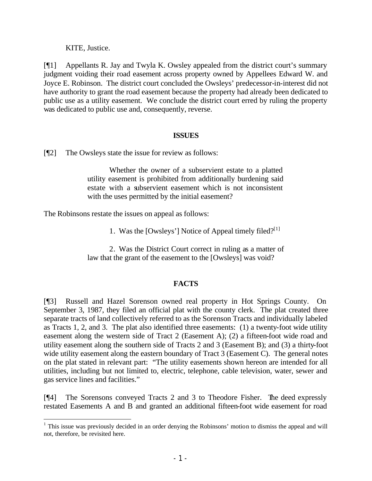KITE, Justice.

[¶1] Appellants R. Jay and Twyla K. Owsley appealed from the district court's summary judgment voiding their road easement across property owned by Appellees Edward W. and Joyce E. Robinson. The district court concluded the Owsleys' predecessor-in-interest did not have authority to grant the road easement because the property had already been dedicated to public use as a utility easement. We conclude the district court erred by ruling the property was dedicated to public use and, consequently, reverse.

### **ISSUES**

[¶2] The Owsleys state the issue for review as follows:

Whether the owner of a subservient estate to a platted utility easement is prohibited from additionally burdening said estate with a subservient easement which is not inconsistent with the uses permitted by the initial easement?

The Robinsons restate the issues on appeal as follows:

1. Was the [Owsleys'] Notice of Appeal timely filed? $[1]$ 

2. Was the District Court correct in ruling as a matter of law that the grant of the easement to the [Owsleys] was void?

## **FACTS**

[¶3] Russell and Hazel Sorenson owned real property in Hot Springs County. On September 3, 1987, they filed an official plat with the county clerk. The plat created three separate tracts of land collectively referred to as the Sorenson Tracts and individually labeled as Tracts 1, 2, and 3. The plat also identified three easements: (1) a twenty-foot wide utility easement along the western side of Tract 2 (Easement A); (2) a fifteen-foot wide road and utility easement along the southern side of Tracts 2 and 3 (Easement B); and (3) a thirty-foot wide utility easement along the eastern boundary of Tract 3 (Easement C). The general notes on the plat stated in relevant part: "The utility easements shown hereon are intended for all utilities, including but not limited to, electric, telephone, cable television, water, sewer and gas service lines and facilities."

[¶4] The Sorensons conveyed Tracts 2 and 3 to Theodore Fisher. The deed expressly restated Easements A and B and granted an additional fifteen-foot wide easement for road

<sup>&</sup>lt;sup>1</sup> This issue was previously decided in an order denying the Robinsons' motion to dismiss the appeal and will not, therefore, be revisited here.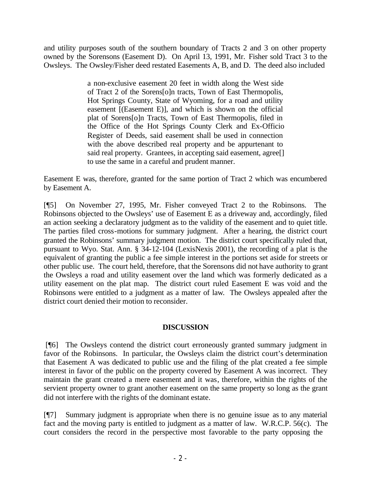and utility purposes south of the southern boundary of Tracts 2 and 3 on other property owned by the Sorensons (Easement D). On April 13, 1991, Mr. Fisher sold Tract 3 to the Owsleys. The Owsley/Fisher deed restated Easements A, B, and D. The deed also included

> a non-exclusive easement 20 feet in width along the West side of Tract 2 of the Sorens[o]n tracts, Town of East Thermopolis, Hot Springs County, State of Wyoming, for a road and utility easement [(Easement E)], and which is shown on the official plat of Sorens[o]n Tracts, Town of East Thermopolis, filed in the Office of the Hot Springs County Clerk and Ex-Officio Register of Deeds, said easement shall be used in connection with the above described real property and be appurtenant to said real property. Grantees, in accepting said easement, agree<sup>[]</sup> to use the same in a careful and prudent manner.

Easement E was, therefore, granted for the same portion of Tract 2 which was encumbered by Easement A.

[¶5] On November 27, 1995, Mr. Fisher conveyed Tract 2 to the Robinsons. The Robinsons objected to the Owsleys' use of Easement E as a driveway and, accordingly, filed an action seeking a declaratory judgment as to the validity of the easement and to quiet title. The parties filed cross-motions for summary judgment. After a hearing, the district court granted the Robinsons' summary judgment motion. The district court specifically ruled that, pursuant to Wyo. Stat. Ann. § 34-12-104 (LexisNexis 2001), the recording of a plat is the equivalent of granting the public a fee simple interest in the portions set aside for streets or other public use. The court held, therefore, that the Sorensons did not have authority to grant the Owsleys a road and utility easement over the land which was formerly dedicated as a utility easement on the plat map. The district court ruled Easement E was void and the Robinsons were entitled to a judgment as a matter of law. The Owsleys appealed after the district court denied their motion to reconsider.

## **DISCUSSION**

 [¶6] The Owsleys contend the district court erroneously granted summary judgment in favor of the Robinsons. In particular, the Owsleys claim the district court's determination that Easement A was dedicated to public use and the filing of the plat created a fee simple interest in favor of the public on the property covered by Easement A was incorrect. They maintain the grant created a mere easement and it was, therefore, within the rights of the servient property owner to grant another easement on the same property so long as the grant did not interfere with the rights of the dominant estate.

[¶7] Summary judgment is appropriate when there is no genuine issue as to any material fact and the moving party is entitled to judgment as a matter of law. W.R.C.P. 56(c). The court considers the record in the perspective most favorable to the party opposing the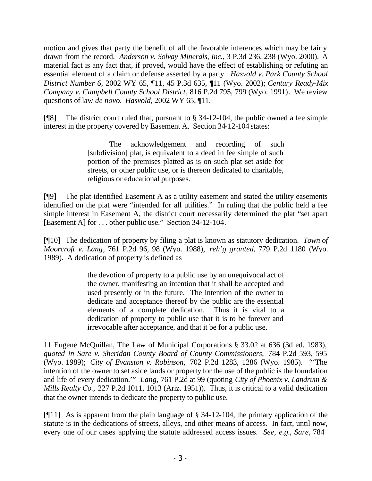motion and gives that party the benefit of all the favorable inferences which may be fairly drawn from the record. *Anderson v. Solvay Minerals, Inc.*, 3 P.3d 236, 238 (Wyo. 2000). A material fact is any fact that, if proved, would have the effect of establishing or refuting an essential element of a claim or defense asserted by a party. *Hasvold v. Park County School District Number 6*, 2002 WY 65, ¶11, 45 P.3d 635, ¶11 (Wyo. 2002); *Century Ready-Mix Company v. Campbell County School District*, 816 P.2d 795, 799 (Wyo. 1991). We review questions of law *de novo. Hasvold,* 2002 WY 65, ¶11.

[ $[$ [8] The district court ruled that, pursuant to  $\S$  34-12-104, the public owned a fee simple interest in the property covered by Easement A. Section 34-12-104 states:

> The acknowledgement and recording of such [subdivision] plat, is equivalent to a deed in fee simple of such portion of the premises platted as is on such plat set aside for streets, or other public use, or is thereon dedicated to charitable, religious or educational purposes.

[¶9] The plat identified Easement A as a utility easement and stated the utility easements identified on the plat were "intended for all utilities." In ruling that the public held a fee simple interest in Easement A, the district court necessarily determined the plat "set apart [Easement A] for . . . other public use." Section 34-12-104.

[¶10] The dedication of property by filing a plat is known as statutory dedication. *Town of Moorcroft v. Lang*, 761 P.2d 96, 98 (Wyo. 1988), *reh'g granted,* 779 P.2d 1180 (Wyo. 1989). A dedication of property is defined as

> the devotion of property to a public use by an unequivocal act of the owner, manifesting an intention that it shall be accepted and used presently or in the future. The intention of the owner to dedicate and acceptance thereof by the public are the essential elements of a complete dedication. Thus it is vital to a dedication of property to public use that it is to be forever and irrevocable after acceptance, and that it be for a public use.

11 Eugene McQuillan, The Law of Municipal Corporations § 33.02 at 636 (3d ed. 1983), *quoted in Sare v. Sheridan County Board of County Commissioners,* 784 P.2d 593, 595 (Wyo. 1989); *City of Evanston v. Robinson,* 702 P.2d 1283, 1286 (Wyo. 1985). "'The intention of the owner to set aside lands or property for the use of the public is the foundation and life of every dedication.'" *Lang*, 761 P.2d at 99 (quoting *City of Phoenix v. Landrum & Mills Realty Co.,* 227 P.2d 1011, 1013 (Ariz. 1951)). Thus, it is critical to a valid dedication that the owner intends to dedicate the property to public use.

[ $[$ [11] As is apparent from the plain language of § 34-12-104, the primary application of the statute is in the dedications of streets, alleys, and other means of access. In fact, until now, every one of our cases applying the statute addressed access issues. *See, e.g.*, *Sare,* 784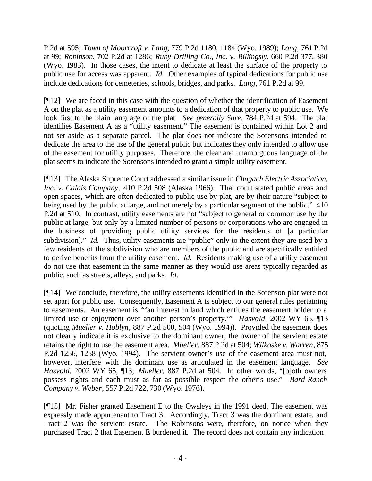P.2d at 595; *Town of Moorcroft v. Lang,* 779 P.2d 1180, 1184 (Wyo. 1989); *Lang,* 761 P.2d at 99; *Robinson,* 702 P.2d at 1286; *Ruby Drilling Co., Inc. v. Billingsly*, 660 P.2d 377, 380 (Wyo. 1983). In those cases, the intent to dedicate at least the surface of the property to public use for access was apparent. *Id.* Other examples of typical dedications for public use include dedications for cemeteries, schools, bridges, and parks. *Lang,* 761 P.2d at 99.

[¶12] We are faced in this case with the question of whether the identification of Easement A on the plat as a utility easement amounts to a dedication of that property to public use. We look first to the plain language of the plat. *See generally Sare,* 784 P.2d at 594. The plat identifies Easement A as a "utility easement." The easement is contained within Lot 2 and not set aside as a separate parcel. The plat does not indicate the Sorensons intended to dedicate the area to the use of the general public but indicates they only intended to allow use of the easement for utility purposes. Therefore, the clear and unambiguous language of the plat seems to indicate the Sorensons intended to grant a simple utility easement.

[¶13] The Alaska Supreme Court addressed a similar issue in *Chugach Electric Association, Inc. v. Calais Company,* 410 P.2d 508 (Alaska 1966). That court stated public areas and open spaces, which are often dedicated to public use by plat, are by their nature "subject to being used by the public at large, and not merely by a particular segment of the public." 410 P.2d at 510. In contrast, utility easements are not "subject to general or common use by the public at large, but only by a limited number of persons or corporations who are engaged in the business of providing public utility services for the residents of [a particular subdivision]." *Id.* Thus, utility easements are "public" only to the extent they are used by a few residents of the subdivision who are members of the public and are specifically entitled to derive benefits from the utility easement. *Id.* Residents making use of a utility easement do not use that easement in the same manner as they would use areas typically regarded as public, such as streets, alleys, and parks. *Id.*

[¶14] We conclude, therefore, the utility easements identified in the Sorenson plat were not set apart for public use. Consequently, Easement A is subject to our general rules pertaining to easements. An easement is "'an interest in land which entitles the easement holder to a limited use or enjoyment over another person's property.'" *Hasvold*, 2002 WY 65, ¶13 (quoting *Mueller v. Hoblyn*, 887 P.2d 500, 504 (Wyo. 1994)). Provided the easement does not clearly indicate it is exclusive to the dominant owner, the owner of the servient estate retains the right to use the easement area. *Mueller,* 887 P.2d at 504; *Wilkoske v. Warren*, 875 P.2d 1256, 1258 (Wyo. 1994). The servient owner's use of the easement area must not, however, interfere with the dominant use as articulated in the easement language. *See Hasvold,* 2002 WY 65, ¶13; *Mueller,* 887 P.2d at 504. In other words, "[b]oth owners possess rights and each must as far as possible respect the other's use." *Bard Ranch Company v. Weber*, 557 P.2d 722, 730 (Wyo. 1976).

[¶15] Mr. Fisher granted Easement E to the Owsleys in the 1991 deed. The easement was expressly made appurtenant to Tract 3. Accordingly, Tract 3 was the dominant estate, and Tract 2 was the servient estate. The Robinsons were, therefore, on notice when they purchased Tract 2 that Easement E burdened it. The record does not contain any indication